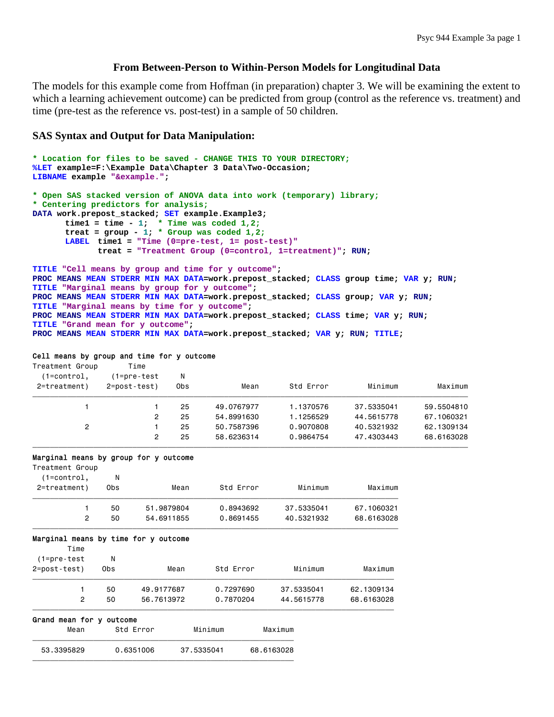## **From Between-Person to Within-Person Models for Longitudinal Data**

The models for this example come from Hoffman (in preparation) chapter 3. We will be examining the extent to which a learning achievement outcome) can be predicted from group (control as the reference vs. treatment) and time (pre-test as the reference vs. post-test) in a sample of 50 children.

## **SAS Syntax and Output for Data Manipulation:**

```
* Location for files to be saved - CHANGE THIS TO YOUR DIRECTORY;
%LET example=F:\Example Data\Chapter 3 Data\Two-Occasion; 
LIBNAME example "&example."; 
* Open SAS stacked version of ANOVA data into work (temporary) library;
* Centering predictors for analysis;
DATA work.prepost_stacked; SET example.Example3; 
       time1 = time - 1; * Time was coded 1,2;
       treat = group - 1; * Group was coded 1,2;
      LABEL time1 = "Time (0=pre-test, 1= post-test)"
              treat = "Treatment Group (0=control, 1=treatment)"; RUN; 
TITLE "Cell means by group and time for y outcome"; 
PROC MEANS MEAN STDERR MIN MAX DATA=work.prepost_stacked; CLASS group time; VAR y; RUN; 
TITLE "Marginal means by group for y outcome"; 
PROC MEANS MEAN STDERR MIN MAX DATA=work.prepost_stacked; CLASS group; VAR y; RUN; 
TITLE "Marginal means by time for y outcome";
```
**PROC MEANS MEAN STDERR MIN MAX DATA=work.prepost\_stacked; CLASS time; VAR y; RUN; TITLE "Grand mean for y outcome";** 

### **PROC MEANS MEAN STDERR MIN MAX DATA=work.prepost\_stacked; VAR y; RUN; TITLE;**

#### Cell means by group and time for y outcome

| Treatment Group<br>$(1=control,$<br>2=treatment) | Time<br>(1=pre-test<br>2=post-test) | N<br>0bs | Mean       | Std Error | Minimum    | Maximum    |
|--------------------------------------------------|-------------------------------------|----------|------------|-----------|------------|------------|
|                                                  |                                     | 25       | 49.0767977 | 1.1370576 | 37.5335041 | 59.5504810 |
|                                                  | 2                                   | 25       | 54.8991630 | 1.1256529 | 44.5615778 | 67,1060321 |
| 2                                                |                                     | 25       | 50.7587396 | 0.9070808 | 40.5321932 | 62.1309134 |
|                                                  | 2                                   | 25       | 58.6236314 | 0.9864754 | 47.4303443 | 68.6163028 |

#### Marginal means by group for y outcome

| $m\alpha_1$ gaings modifie by group for y categoing |     |            |           |            |            |
|-----------------------------------------------------|-----|------------|-----------|------------|------------|
| Treatment Group                                     |     |            |           |            |            |
| $(1=control,$                                       | Ν   |            |           |            |            |
| 2=treatment)                                        | 0bs | Mean       | Std Error | Minimum    | Maximum    |
|                                                     | 50  | 51.9879804 | 0.8943692 | 37.5335041 | 67.1060321 |
| 2                                                   | 50  | 54.6911855 | 0.8691455 | 40.5321932 | 68.6163028 |
|                                                     |     |            |           |            |            |

### Marginal means by time for y outcome

| Mean                | Std Error          |            | Minimum   | Maximum    |            |
|---------------------|--------------------|------------|-----------|------------|------------|
| Grand               | mean for y outcome |            |           |            |            |
| 2                   | 50                 | 56.7613972 | 0.7870204 | 44.5615778 | 68.6163028 |
|                     | 50                 | 49.9177687 | 0.7297690 | 37.5335041 | 62.1309134 |
| 2=post-test)        | 0bs                | Mean       | Std Error | Minimum    | Maximum    |
| Time<br>(1=pre-test | N                  |            |           |            |            |

 53.3395829 0.6351006 37.5335041 68.6163028  $\overline{f}$  , and the state of the state of the state of the state of the state of the state of the state of the state of the state of the state of the state of the state of the state of the state of the state of the state o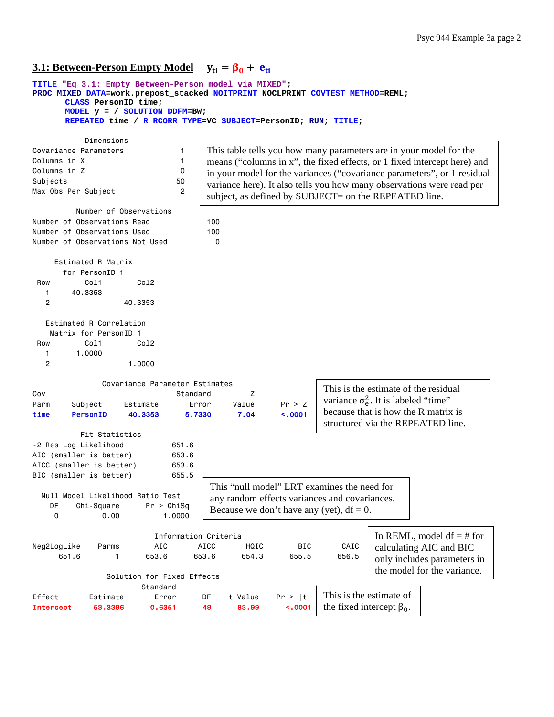# **<u>3.1: Between-Person Empty Model</u>**  $y_{ti} = \beta_0 + e_{ti}$

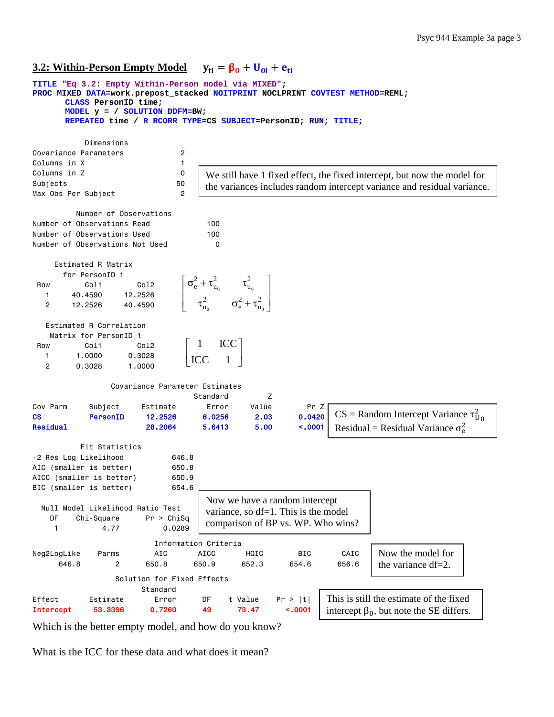# **<u>3.2: Within-Person Empty Model</u>**  $y_{ti} = \beta_0 + U_{0i} + e_{ti}$



Which is the better empty model, and how do you know?

What is the ICC for these data and what does it mean?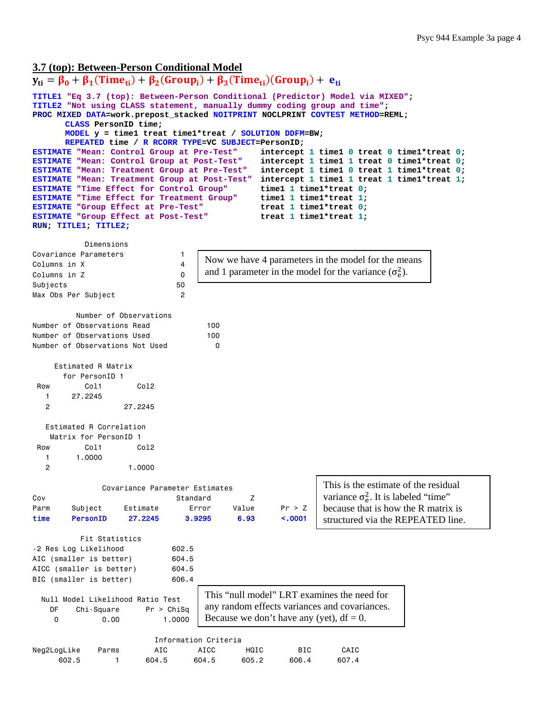### **3.7 (top): Between-Person Conditional Model**

```
y_{ti} = \beta_0 + \beta_1(Time_{ti}) + \beta_2(Group_i) + \beta_3(Time_{ti})(Group_i) + e_{ti}TITLE1 "Eq 3.7 (top): Between-Person Conditional (Predictor) Model via MIXED"; 
TITLE2 "Not using CLASS statement, manually dummy coding group and time"; 
PROC MIXED DATA=work.prepost_stacked NOITPRINT NOCLPRINT COVTEST METHOD=REML; 
       CLASS PersonID time; 
       MODEL y = time1 treat time1*treat / SOLUTION DDFM=BW; 
      REPEATED time / R RCORR TYPE=VC SUBJECT=PersonID; 
ESTIMATE "Mean: Control Group at Pre-Test" intercept 1 time1 0 treat 0 time1*treat 0; 
ESTIMATE "Mean: Control Group at Post-Test" intercept 1 time1 1 treat 0 time1*treat 0; 
ESTIMATE "Mean: Treatment Group at Pre-Test"
ESTIMATE "Mean: Treatment Group at Post-Test" intercept 1 time1 1 treat 1 time1*treat 1; 
ESTIMATE "Time Effect for Control Group" time1 1 time1*treat 0; 
ESTIMATE "Time Effect for Treatment Group" time1 1 time1*treat 1; 
ESTIMATE "Group Effect at Pre-Test" treat 1 time1*treat 0; 
ESTIMATE "Group Effect at Post-Test" treat 1 time1*treat 1; 
RUN; TITLE1; TITLE2; 
            Dimensions 
Covariance Parameters 1 
Columns in X 4
Columns in Z 0
Subjects 50
Max Obs Per Subject 2
          Number of Observations 
Number of Observations Read 100
Number of Observations Used 100
Number of Observations Not Used 0
     Estimated R Matrix 
       for PersonID 1 
 Row Col1 Col2
   1 27.2245 
   2 27.2245 
   Estimated R Correlation 
    Matrix for PersonID 1 
 Row Col1 Col2
    1 1.0000 
   2 1.0000 
               Covariance Parameter Estimates 
Cov Cover Cover 2 Cover Cover Cover 2 Cover Cover Cover Cover Cover Cover Cover Cover Cover Cover Cover Cover Cover Cover Cover Cover Cover Cover Cover Cover Cover Cover Cover Cover Cover Cover Cover Cover Cover Cover Cove
Parm Subject Estimate Error Value Pr > Z 
time PersonID 27.2245 3.9295 6.93 <.0001 
           Fit Statistics 
-2 Res Log Likelihood 602.5 
AIC (smaller is better) 604.5
AICC (smaller is better) 604.5
BIC (smaller is better) 606.4
   Null Model Likelihood Ratio Test 
    DF Chi-Square Pr > ChiSq 
     0 0.00 1.0000 
                           Information Criteria 
Neg2LogLike Parms AIC AICC HQIC BIC CAIC 
 602.5 1 604.5 604.5 605.2 606.4 607.4 
                                    Now we have 4 parameters in the model for the means 
                                     and 1 parameter in the model for the variance (\sigma_e^2).
                                                              This is the estimate of the residual 
                                                              variance \sigma_e^2. It is labeled "time"
                                                              because that is how the R matrix is 
                                                              structured via the REPEATED line.
                                    This "null model" LRT examines the need for 
                                    any random effects variances and covariances. 
                                    Because we don't have any (yet), df = 0.
```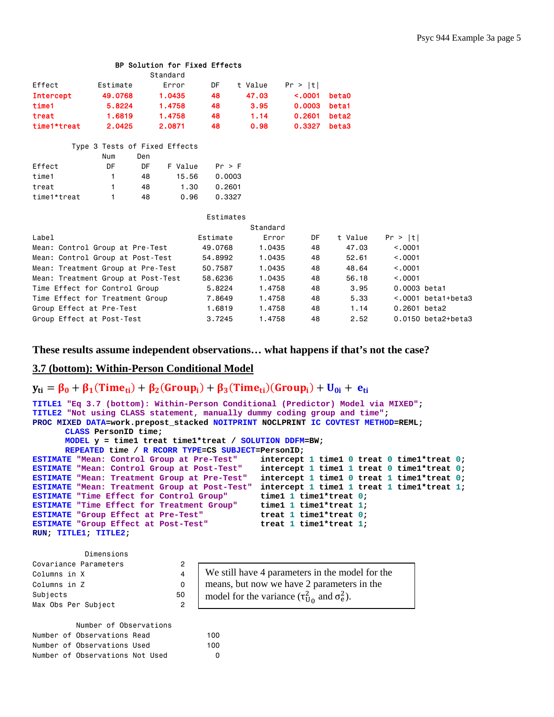|                                    |          |     | Standard                      |           |          |         |                   |              |                             |
|------------------------------------|----------|-----|-------------------------------|-----------|----------|---------|-------------------|--------------|-----------------------------|
| Effect                             | Estimate |     | Error                         | DF        | t Value  | Pr >  t |                   |              |                             |
| <b>Intercept</b>                   | 49.0768  |     | 1.0435                        | 48        | 47.03    | < .0001 | beta0             |              |                             |
| time1                              | 5.8224   |     | 1.4758                        | 48        | 3.95     | 0.0003  | beta1             |              |                             |
| treat                              | 1.6819   |     | 1.4758                        | 48        | 1.14     | 0.2601  | beta <sub>2</sub> |              |                             |
| time1*treat                        | 2.0425   |     | 2.0871                        | 48        | 0.98     | 0.3327  | beta3             |              |                             |
|                                    |          |     | Type 3 Tests of Fixed Effects |           |          |         |                   |              |                             |
|                                    | Num      | Den |                               |           |          |         |                   |              |                             |
| Effect                             | DF       | DF  | F Value                       | Pr > F    |          |         |                   |              |                             |
| time1                              |          | 48  | 15.56                         | 0.0003    |          |         |                   |              |                             |
| treat                              |          | 48  | 1.30                          | 0.2601    |          |         |                   |              |                             |
| time1*treat                        |          | 48  | 0.96                          | 0.3327    |          |         |                   |              |                             |
|                                    |          |     |                               | Estimates |          |         |                   |              |                             |
|                                    |          |     |                               |           | Standard |         |                   |              |                             |
| Label                              |          |     |                               | Estimate  | Error    | DF      | t Value           | Pr >  t      |                             |
| Mean: Control Group at Pre-Test    |          |     |                               | 49,0768   | 1.0435   | 48      | 47.03             | < 0.0001     |                             |
| Mean: Control Group at Post-Test   |          |     |                               | 54.8992   | 1.0435   | 48      | 52.61             | < 0.0001     |                             |
| Mean: Treatment Group at Pre-Test  |          |     |                               | 50.7587   | 1.0435   | 48      | 48.64             | < 0.0001     |                             |
| Mean: Treatment Group at Post-Test |          |     |                               | 58.6236   | 1.0435   | 48      | 56.18             | < .0001      |                             |
| Time Effect for Control Group      |          |     |                               | 5.8224    | 1.4758   | 48      | 3.95              | 0.0003 beta1 |                             |
| Time Effect for Treatment Group    |          |     |                               | 7.8649    | 1.4758   | 48      | 5.33              |              | $< .0001$ beta1+beta3       |
| Group Effect at Pre-Test           |          |     |                               | 1.6819    | 1.4758   | 48      | 1.14              | 0.2601 beta2 |                             |
| Group Effect at Post-Test          |          |     |                               | 3.7245    | 1.4758   | 48      | 2.52              |              | $0.0150$ beta $2+$ beta $3$ |

**These results assume independent observations… what happens if that's not the case?** 

# **3.7 (bottom): Within-Person Conditional Model**

# $y_{ti} = \beta_0 + \beta_1$ (Time<sub>ti</sub>) +  $\beta_2$ (Group<sub>i</sub>) +  $\beta_3$ (Time<sub>ti</sub>)(Group<sub>i</sub>) + U<sub>0i</sub> + e<sub>ti</sub>

BP Solution for Fixed Effects

```
TITLE1 "Eq 3.7 (bottom): Within-Person Conditional (Predictor) Model via MIXED"; 
TITLE2 "Not using CLASS statement, manually dummy coding group and time"; 
PROC MIXED DATA=work.prepost_stacked NOITPRINT NOCLPRINT IC COVTEST METHOD=REML; 
      CLASS PersonID time; 
      MODEL y = time1 treat time1*treat / SOLUTION DDFM=BW; 
      REPEATED time / R RCORR TYPE=CS SUBJECT=PersonID; 
ESTIMATE "Mean: Control Group at Pre-Test" intercept 1 time1 0 treat 0 time1*treat 0; 
ESTIMATE "Mean: Control Group at Post-Test" intercept 1 time1 1 treat 0 time1*treat 0; 
ESTIMATE "Mean: Treatment Group at Pre-Test" intercept 1 time1 0 treat 1 time1*treat 0; 
ESTIMATE "Mean: Treatment Group at Post-Test" intercept 1 time1 1 treat 1 time1*treat 1; 
ESTIMATE "Time Effect for Control Group" time1 1 time1*treat 0; 
ESTIMATE "Time Effect for Treatment Group" time1 1 time1*treat 1; 
ESTIMATE "Group Effect at Pre-Test" treat 1 time1*treat 0; 
ESTIMATE "Group Effect at Post-Test" treat 1 time1*treat 1; 
RUN; TITLE1; TITLE2; 
           Dimensions
```

| DIMENSIONS            |  |    |  |  |  |  |  |
|-----------------------|--|----|--|--|--|--|--|
| Covariance Parameters |  | 2  |  |  |  |  |  |
| Columns in X          |  |    |  |  |  |  |  |
| Columns in Z          |  | ŋ  |  |  |  |  |  |
| Subjects              |  | 50 |  |  |  |  |  |
| Max Obs Per Subject   |  | 2  |  |  |  |  |  |

|  | Number of Observations          |     |
|--|---------------------------------|-----|
|  | Number of Observations Read     | 100 |
|  | Number of Observations Used     | 100 |
|  | Number of Observations Not Used | O   |

| We still have 4 parameters in the model for the            |
|------------------------------------------------------------|
| means, but now we have 2 parameters in the                 |
| model for the variance $(\tau_{U_0}^2$ and $\sigma_e^2)$ . |

| $\mathbf{W}$ of $\mathbf{S}$ and $\mathbf{W}$ are parameters in the moder for the |
|-----------------------------------------------------------------------------------|
| means, but now we have 2 parameters in the                                        |
| model for the variance $(\tau_{\text{II}_0}^2$ and $\sigma_{\text{e}}^2)$ .       |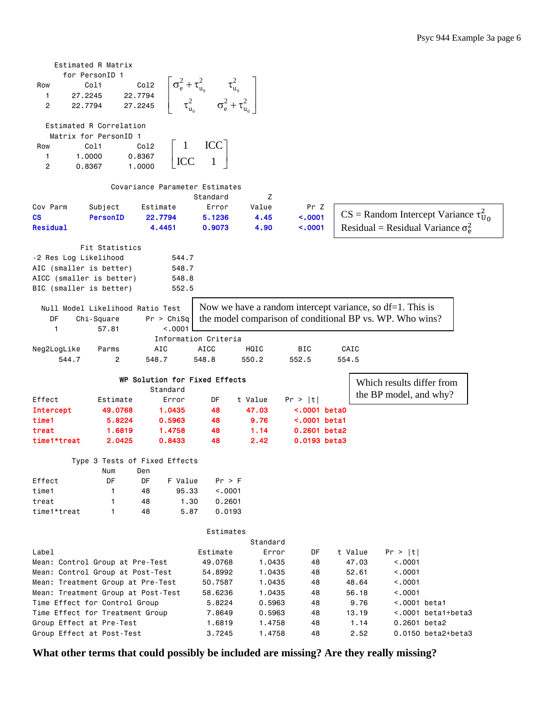|                                                                     | Estimated R Matrix |                                  |         |                               |                                                                                                                                       |                  |                    |               |                                                              |                    |  |
|---------------------------------------------------------------------|--------------------|----------------------------------|---------|-------------------------------|---------------------------------------------------------------------------------------------------------------------------------------|------------------|--------------------|---------------|--------------------------------------------------------------|--------------------|--|
|                                                                     | for PersonID 1     |                                  |         |                               |                                                                                                                                       |                  |                    |               |                                                              |                    |  |
| Row                                                                 | Col1               |                                  | Co12    |                               |                                                                                                                                       |                  |                    |               |                                                              |                    |  |
| 1                                                                   | 27.2245            |                                  | 22.7794 |                               |                                                                                                                                       |                  |                    |               |                                                              |                    |  |
| 2                                                                   | 22.7794            |                                  | 27.2245 |                               | $\begin{aligned} \n\sigma_{\rm e}^2 + \tau_{\rm u_0}^2 &\qquad \tau_{\rm u_0}^2 \n\sigma_{\rm e}^2 + \tau_{\rm u_0}^2\n\end{aligned}$ |                  |                    |               |                                                              |                    |  |
|                                                                     |                    |                                  |         |                               |                                                                                                                                       |                  |                    |               |                                                              |                    |  |
|                                                                     |                    | Estimated R Correlation          |         |                               |                                                                                                                                       |                  |                    |               |                                                              |                    |  |
|                                                                     |                    | Matrix for PersonID 1            |         |                               |                                                                                                                                       |                  |                    |               |                                                              |                    |  |
| Row                                                                 | Col1               |                                  | Co12    |                               | ICC                                                                                                                                   |                  |                    |               |                                                              |                    |  |
| 1                                                                   | 1.0000             |                                  | 0.8367  | ICC                           |                                                                                                                                       |                  |                    |               |                                                              |                    |  |
| 2                                                                   | 0.8367             |                                  | 1.0000  |                               |                                                                                                                                       |                  |                    |               |                                                              |                    |  |
|                                                                     |                    |                                  |         |                               | Covariance Parameter Estimates                                                                                                        |                  |                    |               |                                                              |                    |  |
|                                                                     |                    |                                  |         |                               | Standard                                                                                                                              | Ζ                |                    |               |                                                              |                    |  |
| Cov Parm                                                            |                    | Subject                          |         | Estimate                      | Error                                                                                                                                 | Value            | Pr Z               |               |                                                              |                    |  |
| СS                                                                  |                    | <b>PersonID</b>                  |         | 22.7794                       | 5.1236                                                                                                                                | 4.45             | < .0001            |               | $CS =$ Random Intercept Variance $\tau_{U_0}^2$              |                    |  |
| Residual                                                            |                    |                                  |         | 4.4451                        | 0.9073                                                                                                                                | 4.90             | < .0001            |               | Residual = Residual Variance $\sigma_{\rm e}^2$              |                    |  |
|                                                                     |                    |                                  |         |                               |                                                                                                                                       |                  |                    |               |                                                              |                    |  |
|                                                                     |                    | Fit Statistics                   |         |                               |                                                                                                                                       |                  |                    |               |                                                              |                    |  |
| -2 Res Log Likelihood                                               |                    |                                  |         | 544.7                         |                                                                                                                                       |                  |                    |               |                                                              |                    |  |
| AIC (smaller is better)                                             |                    |                                  |         | 548.7                         |                                                                                                                                       |                  |                    |               |                                                              |                    |  |
| AICC (smaller is better)                                            |                    |                                  |         | 548.8                         |                                                                                                                                       |                  |                    |               |                                                              |                    |  |
| BIC (smaller is better)                                             |                    |                                  |         | 552.5                         |                                                                                                                                       |                  |                    |               |                                                              |                    |  |
|                                                                     |                    | Null Model Likelihood Ratio Test |         |                               |                                                                                                                                       |                  |                    |               | Now we have a random intercept variance, so $df=1$ . This is |                    |  |
| DF                                                                  | Chi-Square         |                                  |         | Pr > Chisq                    |                                                                                                                                       |                  |                    |               |                                                              |                    |  |
| $\mathbf{1}$                                                        |                    | 57.81                            |         | < .0001                       |                                                                                                                                       |                  |                    |               | the model comparison of conditional BP vs. WP. Who wins?     |                    |  |
|                                                                     |                    |                                  |         |                               | Information Criteria                                                                                                                  |                  |                    |               |                                                              |                    |  |
| Neg2LogLike                                                         |                    | Parms                            |         | AIC                           | <b>AICC</b>                                                                                                                           | HQIC             | BIC                | CAIC          |                                                              |                    |  |
| 544.7                                                               |                    | 2                                |         | 548.7                         | 548.8                                                                                                                                 | 550.2            | 552.5              | 554.5         |                                                              |                    |  |
|                                                                     |                    |                                  |         |                               |                                                                                                                                       |                  |                    |               |                                                              |                    |  |
|                                                                     |                    |                                  |         |                               | WP Solution for Fixed Effects                                                                                                         |                  |                    |               | Which results differ from                                    |                    |  |
|                                                                     |                    |                                  |         | Standard                      |                                                                                                                                       |                  |                    |               | the BP model, and why?                                       |                    |  |
| Effect                                                              |                    | Estimate                         |         | Error                         | DF                                                                                                                                    | t Value          | Pr >  t            |               |                                                              |                    |  |
| <b>Intercept</b>                                                    |                    | 49.0768                          |         | 1.0435                        | 48                                                                                                                                    | 47.03            | $\sim$ .0001 beta0 |               |                                                              |                    |  |
| time1                                                               |                    | 5.8224                           |         | 0.5963                        | 48                                                                                                                                    | 9.76             | $\sim$ .0001 beta1 |               |                                                              |                    |  |
| treat                                                               |                    | 1.6819                           |         | 1.4758                        | 48                                                                                                                                    | 1.14             | 0.2601 beta2       |               |                                                              |                    |  |
| time1*treat                                                         |                    | 2.0425                           |         | 0.8433                        | 48                                                                                                                                    | 2.42             | 0.0193 beta3       |               |                                                              |                    |  |
|                                                                     |                    |                                  |         | Type 3 Tests of Fixed Effects |                                                                                                                                       |                  |                    |               |                                                              |                    |  |
|                                                                     |                    | Num                              | Den     |                               |                                                                                                                                       |                  |                    |               |                                                              |                    |  |
| Effect                                                              |                    | DF                               | DF      | F Value                       | Pr > F                                                                                                                                |                  |                    |               |                                                              |                    |  |
| time1                                                               |                    | 1                                | 48      | 95.33                         | < .0001                                                                                                                               |                  |                    |               |                                                              |                    |  |
| treat                                                               |                    | 1                                | 48      | 1.30                          | 0.2601                                                                                                                                |                  |                    |               |                                                              |                    |  |
| time1*treat                                                         |                    | 1                                | 48      | 5.87                          | 0.0193                                                                                                                                |                  |                    |               |                                                              |                    |  |
|                                                                     |                    |                                  |         |                               |                                                                                                                                       |                  |                    |               |                                                              |                    |  |
|                                                                     |                    |                                  |         |                               | Estimates                                                                                                                             |                  |                    |               |                                                              |                    |  |
|                                                                     |                    |                                  |         |                               |                                                                                                                                       | Standard         |                    |               |                                                              |                    |  |
| Label                                                               |                    |                                  |         |                               | Estimate                                                                                                                              | Error            | DF                 | t Value       | Pr >  t                                                      |                    |  |
| Mean: Control Group at Pre-Test                                     |                    |                                  |         |                               | 49.0768                                                                                                                               | 1.0435           | 48                 | 47.03         | < 0001                                                       |                    |  |
| Mean: Control Group at Post-Test                                    |                    |                                  |         |                               | 54.8992                                                                                                                               | 1.0435           | 48                 | 52.61         | < .0001                                                      |                    |  |
| Mean: Treatment Group at Pre-Test                                   |                    |                                  |         |                               | 50.7587                                                                                                                               | 1.0435           | 48                 | 48.64         | < .0001                                                      |                    |  |
| Mean: Treatment Group at Post-Test<br>Time Effect for Control Group |                    |                                  |         |                               | 58.6236                                                                                                                               | 1.0435           | 48                 | 56.18<br>9.76 | < .0001                                                      |                    |  |
| Time Effect for Treatment Group                                     |                    |                                  |         |                               | 5.8224<br>7.8649                                                                                                                      | 0.5963<br>0.5963 | 48<br>48           | 13.19         | <.0001 beta1                                                 | <.0001 beta1+beta3 |  |
| Group Effect at Pre-Test                                            |                    |                                  |         |                               | 1.6819                                                                                                                                | 1.4758           | 48                 | 1.14          | 0.2601 beta2                                                 |                    |  |
| Group Effect at Post-Test                                           |                    |                                  |         |                               | 3.7245                                                                                                                                | 1.4758           | 48                 | 2.52          |                                                              | 0.0150 beta2+beta3 |  |
|                                                                     |                    |                                  |         |                               |                                                                                                                                       |                  |                    |               |                                                              |                    |  |

**What other terms that could possibly be included are missing? Are they really missing?**